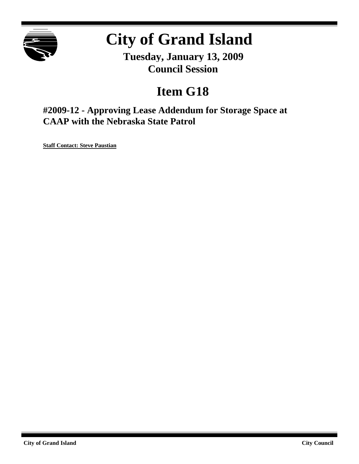

# **City of Grand Island**

**Tuesday, January 13, 2009 Council Session**

## **Item G18**

**#2009-12 - Approving Lease Addendum for Storage Space at CAAP with the Nebraska State Patrol**

**Staff Contact: Steve Paustian**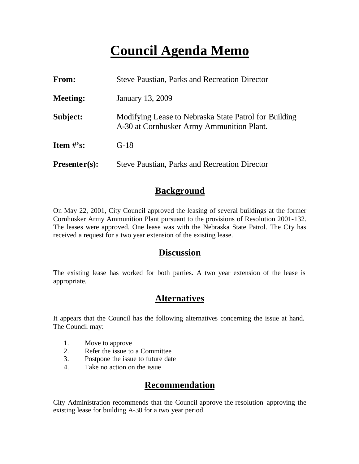## **Council Agenda Memo**

| From:           | <b>Steve Paustian, Parks and Recreation Director</b>                                               |
|-----------------|----------------------------------------------------------------------------------------------------|
| <b>Meeting:</b> | January 13, 2009                                                                                   |
| Subject:        | Modifying Lease to Nebraska State Patrol for Building<br>A-30 at Cornhusker Army Ammunition Plant. |
| Item $\#$ 's:   | $G-18$                                                                                             |
| $Presenter(s):$ | <b>Steve Paustian, Parks and Recreation Director</b>                                               |

### **Background**

On May 22, 2001, City Council approved the leasing of several buildings at the former Cornhusker Army Ammunition Plant pursuant to the provisions of Resolution 2001-132. The leases were approved. One lease was with the Nebraska State Patrol. The City has received a request for a two year extension of the existing lease.

#### **Discussion**

The existing lease has worked for both parties. A two year extension of the lease is appropriate.

## **Alternatives**

It appears that the Council has the following alternatives concerning the issue at hand. The Council may:

- 1. Move to approve
- 2. Refer the issue to a Committee
- 3. Postpone the issue to future date
- 4. Take no action on the issue

### **Recommendation**

City Administration recommends that the Council approve the resolution approving the existing lease for building A-30 for a two year period.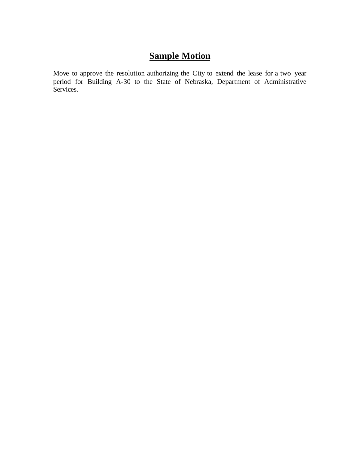## **Sample Motion**

Move to approve the resolution authorizing the City to extend the lease for a two year period for Building A-30 to the State of Nebraska, Department of Administrative Services.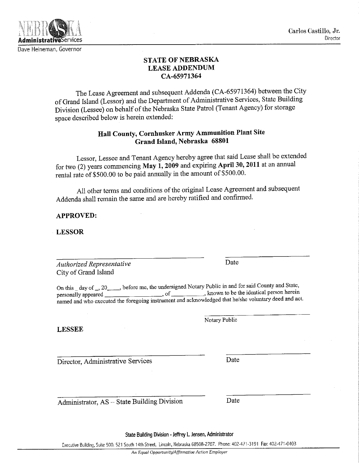Carlos Castillo, Jr. Director

#### **STATE OF NEBRASKA LEASE ADDENDUM** CA-65971364

The Lease Agreement and subsequent Addenda (CA-65971364) between the City of Grand Island (Lessor) and the Department of Administrative Services, State Building Division (Lessee) on behalf of the Nebraska State Patrol (Tenant Agency) for storage space described below is herein extended:

#### Hall County, Cornhusker Army Ammunition Plant Site Grand Island, Nebraska 68801

Lessor, Lessee and Tenant Agency hereby agree that said Lease shall be extended for two (2) years commencing May  $\tilde{1}$ , 2009 and expiring April 30, 2011 at an annual rental rate of \$500.00 to be paid annually in the amount of \$500.00.

All other terms and conditions of the original Lease Agreement and subsequent Addenda shall remain the same and are hereby ratified and confirmed.

#### **APPROVED:**

**LESSOR** 

Authorized Representative City of Grand Island

On this \_ day of \_, 20\_\_\_\_, before me, the undersigned Notary Public in and for said County and State, of known to be the identical person herein personally appeared \_\_ named and who executed the foregoing instrument and acknowledged that he/she voluntary deed and act.

**LESSEE** 

Director, Administrative Services

Administrator, AS - State Building Division

Notary Public

Date

Date

State Building Division - Jeffrey L. Jensen, Administrator

Executive Building, Suite 500. 521 South 14th Street, Lincoln, Nebraska 68508-2707. Phone: 402-471-3191 Fax: 402-471-0403



Dave Heineman, Governor

Date